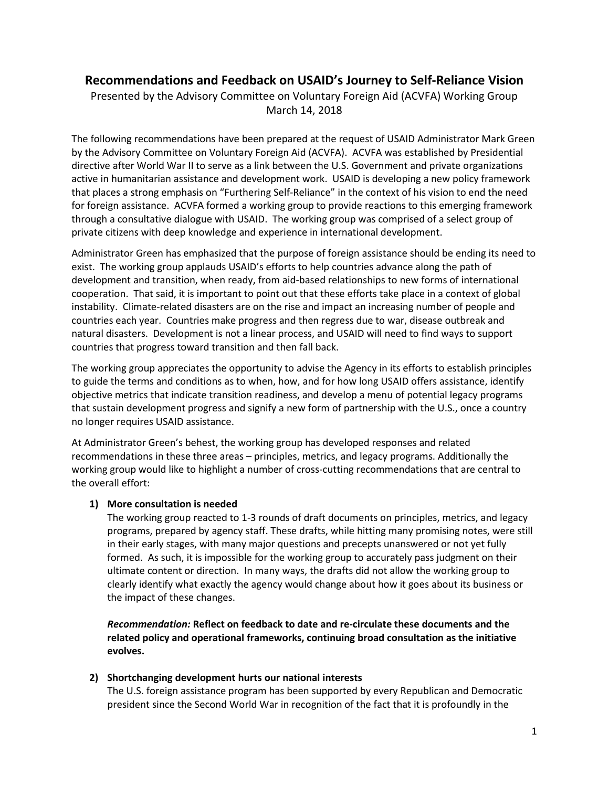# **Recommendations and Feedback on USAID's Journey to Self-Reliance Vision**

Presented by the Advisory Committee on Voluntary Foreign Aid (ACVFA) Working Group March 14, 2018

The following recommendations have been prepared at the request of USAID Administrator Mark Green by the Advisory Committee on Voluntary Foreign Aid (ACVFA). ACVFA was established by Presidential directive after World War II to serve as a link between the U.S. Government and private organizations active in humanitarian assistance and development work. USAID is developing a new policy framework that places a strong emphasis on "Furthering Self-Reliance" in the context of his vision to end the need for foreign assistance. ACVFA formed a working group to provide reactions to this emerging framework through a consultative dialogue with USAID. The working group was comprised of a select group of private citizens with deep knowledge and experience in international development.

Administrator Green has emphasized that the purpose of foreign assistance should be ending its need to exist. The working group applauds USAID's efforts to help countries advance along the path of development and transition, when ready, from aid-based relationships to new forms of international cooperation. That said, it is important to point out that these efforts take place in a context of global instability. Climate-related disasters are on the rise and impact an increasing number of people and countries each year. Countries make progress and then regress due to war, disease outbreak and natural disasters. Development is not a linear process, and USAID will need to find ways to support countries that progress toward transition and then fall back.

The working group appreciates the opportunity to advise the Agency in its efforts to establish principles to guide the terms and conditions as to when, how, and for how long USAID offers assistance, identify objective metrics that indicate transition readiness, and develop a menu of potential legacy programs that sustain development progress and signify a new form of partnership with the U.S., once a country no longer requires USAID assistance.

At Administrator Green's behest, the working group has developed responses and related recommendations in these three areas – principles, metrics, and legacy programs. Additionally the working group would like to highlight a number of cross-cutting recommendations that are central to the overall effort:

# **1) More consultation is needed**

The working group reacted to 1-3 rounds of draft documents on principles, metrics, and legacy programs, prepared by agency staff. These drafts, while hitting many promising notes, were still in their early stages, with many major questions and precepts unanswered or not yet fully formed. As such, it is impossible for the working group to accurately pass judgment on their ultimate content or direction. In many ways, the drafts did not allow the working group to clearly identify what exactly the agency would change about how it goes about its business or the impact of these changes.

*Recommendation:* **Reflect on feedback to date and re-circulate these documents and the related policy and operational frameworks, continuing broad consultation as the initiative evolves.**

# **2) Shortchanging development hurts our national interests**

The U.S. foreign assistance program has been supported by every Republican and Democratic president since the Second World War in recognition of the fact that it is profoundly in the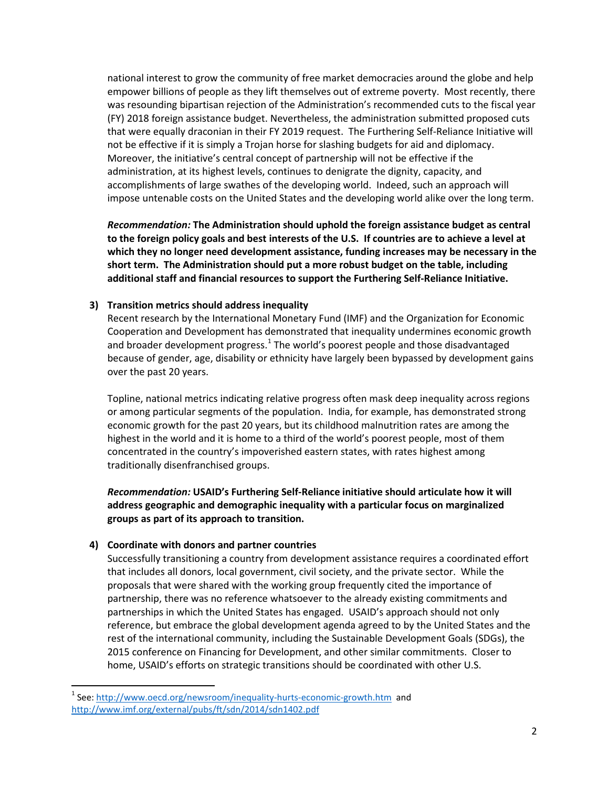national interest to grow the community of free market democracies around the globe and help empower billions of people as they lift themselves out of extreme poverty. Most recently, there was resounding bipartisan rejection of the Administration's recommended cuts to the fiscal year (FY) 2018 foreign assistance budget. Nevertheless, the administration submitted proposed cuts that were equally draconian in their FY 2019 request. The Furthering Self-Reliance Initiative will not be effective if it is simply a Trojan horse for slashing budgets for aid and diplomacy. Moreover, the initiative's central concept of partnership will not be effective if the administration, at its highest levels, continues to denigrate the dignity, capacity, and accomplishments of large swathes of the developing world. Indeed, such an approach will impose untenable costs on the United States and the developing world alike over the long term.

*Recommendation:* **The Administration should uphold the foreign assistance budget as central to the foreign policy goals and best interests of the U.S. If countries are to achieve a level at which they no longer need development assistance, funding increases may be necessary in the short term. The Administration should put a more robust budget on the table, including additional staff and financial resources to support the Furthering Self-Reliance Initiative.** 

# **3) Transition metrics should address inequality**

Recent research by the International Monetary Fund (IMF) and the Organization for Economic Cooperation and Development has demonstrated that inequality undermines economic growth and broader development progress.<sup>[1](#page-1-0)</sup> The world's poorest people and those disadvantaged because of gender, age, disability or ethnicity have largely been bypassed by development gains over the past 20 years.

Topline, national metrics indicating relative progress often mask deep inequality across regions or among particular segments of the population. India, for example, has demonstrated strong economic growth for the past 20 years, but its childhood malnutrition rates are among the highest in the world and it is home to a third of the world's poorest people, most of them concentrated in the country's impoverished eastern states, with rates highest among traditionally disenfranchised groups.

*Recommendation:* **USAID's Furthering Self-Reliance initiative should articulate how it will address geographic and demographic inequality with a particular focus on marginalized groups as part of its approach to transition.** 

# **4) Coordinate with donors and partner countries**

Successfully transitioning a country from development assistance requires a coordinated effort that includes all donors, local government, civil society, and the private sector. While the proposals that were shared with the working group frequently cited the importance of partnership, there was no reference whatsoever to the already existing commitments and partnerships in which the United States has engaged. USAID's approach should not only reference, but embrace the global development agenda agreed to by the United States and the rest of the international community, including the Sustainable Development Goals (SDGs), the 2015 conference on Financing for Development, and other similar commitments. Closer to home, USAID's efforts on strategic transitions should be coordinated with other U.S.

<span id="page-1-0"></span><sup>&</sup>lt;sup>1</sup> See:<http://www.oecd.org/newsroom/inequality-hurts-economic-growth.htm>and <http://www.imf.org/external/pubs/ft/sdn/2014/sdn1402.pdf>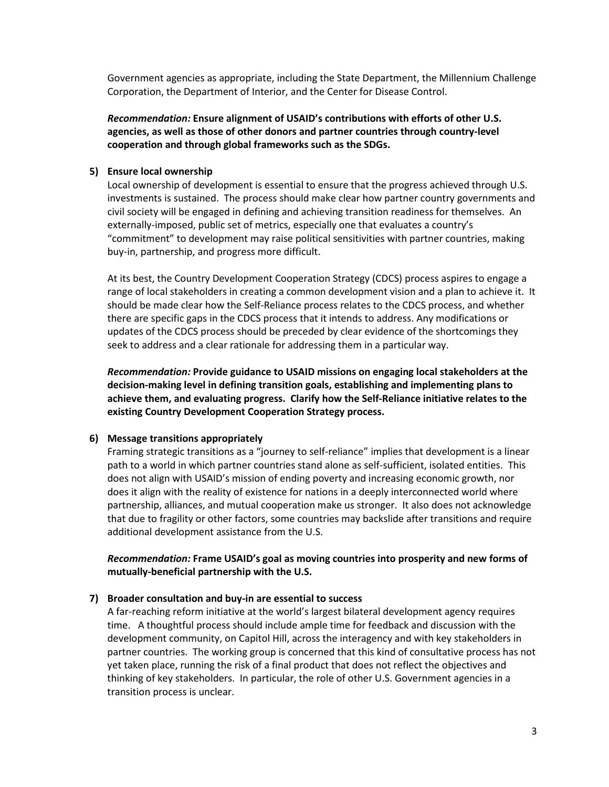Government agencies as appropriate, including the State Department, the Millennium Challenge Corporation, the Department of Interior, and the Center for Disease Control.

*Recommendation:* **Ensure alignment of USAID's contributions with efforts of other U.S. agencies, as well as those of other donors and partner countries through country-level cooperation and through global frameworks such as the SDGs.**

#### **5) Ensure local ownership**

Local ownership of development is essential to ensure that the progress achieved through U.S. investments is sustained. The process should make clear how partner country governments and civil society will be engaged in defining and achieving transition readiness for themselves. An externally-imposed, public set of metrics, especially one that evaluates a country's "commitment" to development may raise political sensitivities with partner countries, making buy-in, partnership, and progress more difficult.

At its best, the Country Development Cooperation Strategy (CDCS) process aspires to engage a range of local stakeholders in creating a common development vision and a plan to achieve it. It should be made clear how the Self-Reliance process relates to the CDCS process, and whether there are specific gaps in the CDCS process that it intends to address. Any modifications or updates of the CDCS process should be preceded by clear evidence of the shortcomings they seek to address and a clear rationale for addressing them in a particular way.

*Recommendation:* **Provide guidance to USAID missions on engaging local stakeholders at the decision-making level in defining transition goals, establishing and implementing plans to achieve them, and evaluating progress. Clarify how the Self-Reliance initiative relates to the existing Country Development Cooperation Strategy process.** 

#### **6) Message transitions appropriately**

Framing strategic transitions as a "journey to self-reliance" implies that development is a linear path to a world in which partner countries stand alone as self-sufficient, isolated entities. This does not align with USAID's mission of ending poverty and increasing economic growth, nor does it align with the reality of existence for nations in a deeply interconnected world where partnership, alliances, and mutual cooperation make us stronger. It also does not acknowledge that due to fragility or other factors, some countries may backslide after transitions and require additional development assistance from the U.S.

*Recommendation:* **Frame USAID's goal as moving countries into prosperity and new forms of mutually-beneficial partnership with the U.S.** 

#### **7) Broader consultation and buy-in are essential to success**

A far-reaching reform initiative at the world's largest bilateral development agency requires time. A thoughtful process should include ample time for feedback and discussion with the development community, on Capitol Hill, across the interagency and with key stakeholders in partner countries. The working group is concerned that this kind of consultative process has not yet taken place, running the risk of a final product that does not reflect the objectives and thinking of key stakeholders. In particular, the role of other U.S. Government agencies in a transition process is unclear.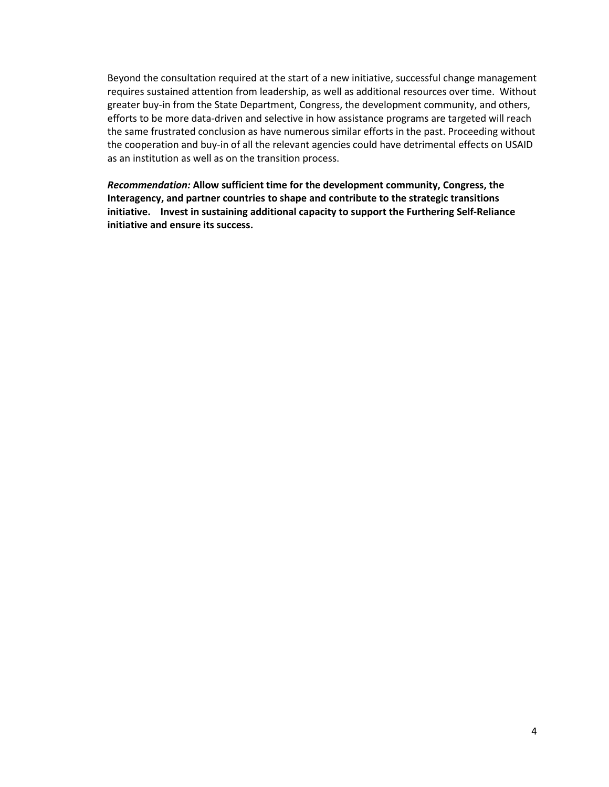Beyond the consultation required at the start of a new initiative, successful change management requires sustained attention from leadership, as well as additional resources over time. Without greater buy-in from the State Department, Congress, the development community, and others, efforts to be more data-driven and selective in how assistance programs are targeted will reach the same frustrated conclusion as have numerous similar efforts in the past. Proceeding without the cooperation and buy-in of all the relevant agencies could have detrimental effects on USAID as an institution as well as on the transition process.

*Recommendation:* **Allow sufficient time for the development community, Congress, the Interagency, and partner countries to shape and contribute to the strategic transitions initiative. Invest in sustaining additional capacity to support the Furthering Self-Reliance initiative and ensure its success.**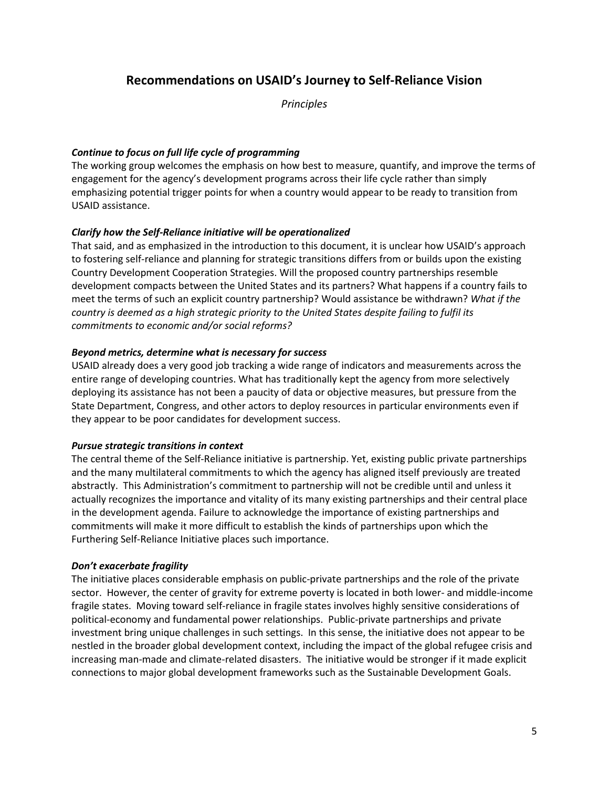# **Recommendations on USAID's Journey to Self-Reliance Vision**

*Principles*

# *Continue to focus on full life cycle of programming*

The working group welcomes the emphasis on how best to measure, quantify, and improve the terms of engagement for the agency's development programs across their life cycle rather than simply emphasizing potential trigger points for when a country would appear to be ready to transition from USAID assistance.

# *Clarify how the Self-Reliance initiative will be operationalized*

That said, and as emphasized in the introduction to this document, it is unclear how USAID's approach to fostering self-reliance and planning for strategic transitions differs from or builds upon the existing Country Development Cooperation Strategies. Will the proposed country partnerships resemble development compacts between the United States and its partners? What happens if a country fails to meet the terms of such an explicit country partnership? Would assistance be withdrawn? *What if the country is deemed as a high strategic priority to the United States despite failing to fulfil its commitments to economic and/or social reforms?* 

# *Beyond metrics, determine what is necessary for success*

USAID already does a very good job tracking a wide range of indicators and measurements across the entire range of developing countries. What has traditionally kept the agency from more selectively deploying its assistance has not been a paucity of data or objective measures, but pressure from the State Department, Congress, and other actors to deploy resources in particular environments even if they appear to be poor candidates for development success.

# *Pursue strategic transitions in context*

The central theme of the Self-Reliance initiative is partnership. Yet, existing public private partnerships and the many multilateral commitments to which the agency has aligned itself previously are treated abstractly. This Administration's commitment to partnership will not be credible until and unless it actually recognizes the importance and vitality of its many existing partnerships and their central place in the development agenda. Failure to acknowledge the importance of existing partnerships and commitments will make it more difficult to establish the kinds of partnerships upon which the Furthering Self-Reliance Initiative places such importance.

# *Don't exacerbate fragility*

The initiative places considerable emphasis on public-private partnerships and the role of the private sector. However, the center of gravity for extreme poverty is located in both lower- and middle-income fragile states. Moving toward self-reliance in fragile states involves highly sensitive considerations of political-economy and fundamental power relationships. Public-private partnerships and private investment bring unique challenges in such settings. In this sense, the initiative does not appear to be nestled in the broader global development context, including the impact of the global refugee crisis and increasing man-made and climate-related disasters. The initiative would be stronger if it made explicit connections to major global development frameworks such as the Sustainable Development Goals.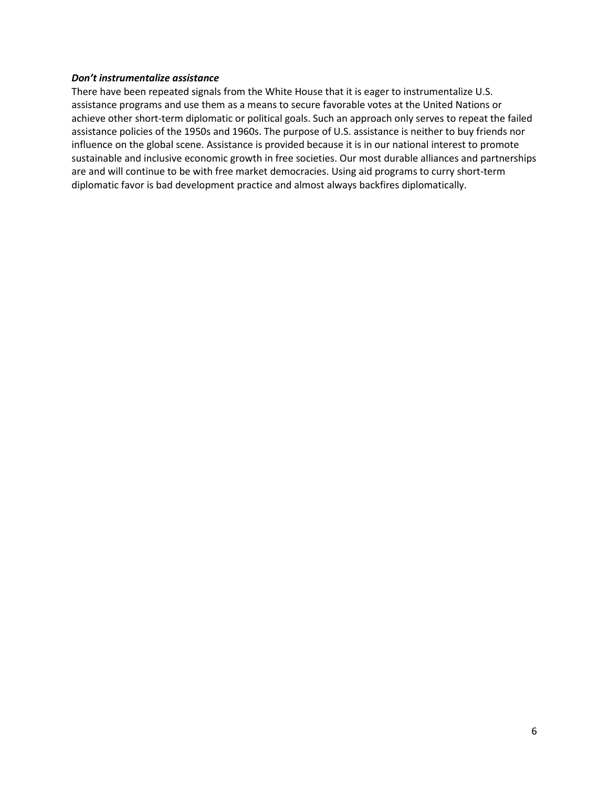#### *Don't instrumentalize assistance*

There have been repeated signals from the White House that it is eager to instrumentalize U.S. assistance programs and use them as a means to secure favorable votes at the United Nations or achieve other short-term diplomatic or political goals. Such an approach only serves to repeat the failed assistance policies of the 1950s and 1960s. The purpose of U.S. assistance is neither to buy friends nor influence on the global scene. Assistance is provided because it is in our national interest to promote sustainable and inclusive economic growth in free societies. Our most durable alliances and partnerships are and will continue to be with free market democracies. Using aid programs to curry short-term diplomatic favor is bad development practice and almost always backfires diplomatically.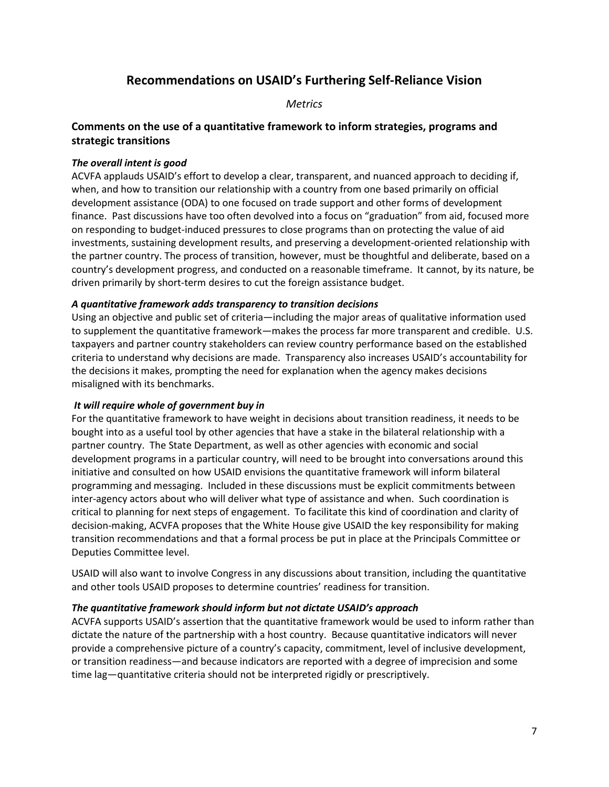# **Recommendations on USAID's Furthering Self-Reliance Vision**

*Metrics*

# **Comments on the use of a quantitative framework to inform strategies, programs and strategic transitions**

# *The overall intent is good*

ACVFA applauds USAID's effort to develop a clear, transparent, and nuanced approach to deciding if, when, and how to transition our relationship with a country from one based primarily on official development assistance (ODA) to one focused on trade support and other forms of development finance. Past discussions have too often devolved into a focus on "graduation" from aid, focused more on responding to budget-induced pressures to close programs than on protecting the value of aid investments, sustaining development results, and preserving a development-oriented relationship with the partner country. The process of transition, however, must be thoughtful and deliberate, based on a country's development progress, and conducted on a reasonable timeframe. It cannot, by its nature, be driven primarily by short-term desires to cut the foreign assistance budget.

# *A quantitative framework adds transparency to transition decisions*

Using an objective and public set of criteria—including the major areas of qualitative information used to supplement the quantitative framework—makes the process far more transparent and credible. U.S. taxpayers and partner country stakeholders can review country performance based on the established criteria to understand why decisions are made. Transparency also increases USAID's accountability for the decisions it makes, prompting the need for explanation when the agency makes decisions misaligned with its benchmarks.

# *It will require whole of government buy in*

For the quantitative framework to have weight in decisions about transition readiness, it needs to be bought into as a useful tool by other agencies that have a stake in the bilateral relationship with a partner country. The State Department, as well as other agencies with economic and social development programs in a particular country, will need to be brought into conversations around this initiative and consulted on how USAID envisions the quantitative framework will inform bilateral programming and messaging. Included in these discussions must be explicit commitments between inter-agency actors about who will deliver what type of assistance and when. Such coordination is critical to planning for next steps of engagement. To facilitate this kind of coordination and clarity of decision-making, ACVFA proposes that the White House give USAID the key responsibility for making transition recommendations and that a formal process be put in place at the Principals Committee or Deputies Committee level.

USAID will also want to involve Congress in any discussions about transition, including the quantitative and other tools USAID proposes to determine countries' readiness for transition.

# *The quantitative framework should inform but not dictate USAID's approach*

ACVFA supports USAID's assertion that the quantitative framework would be used to inform rather than dictate the nature of the partnership with a host country. Because quantitative indicators will never provide a comprehensive picture of a country's capacity, commitment, level of inclusive development, or transition readiness—and because indicators are reported with a degree of imprecision and some time lag—quantitative criteria should not be interpreted rigidly or prescriptively.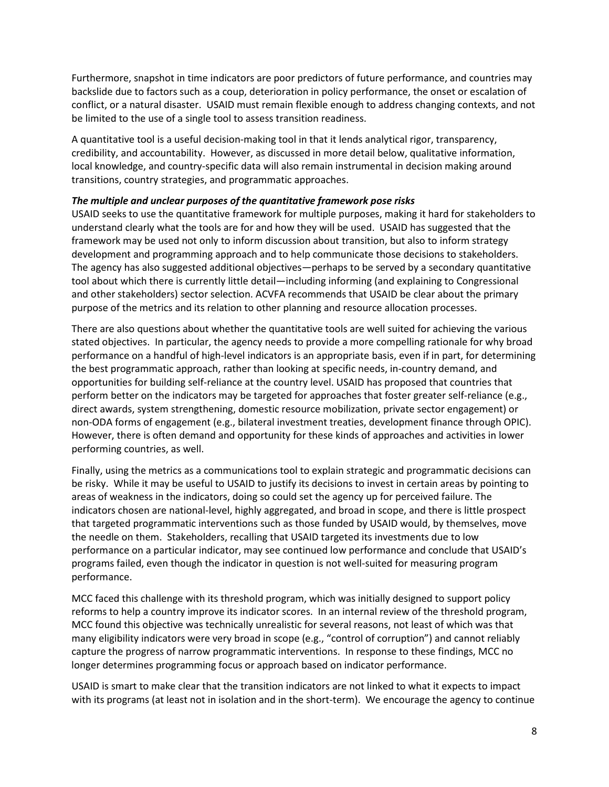Furthermore, snapshot in time indicators are poor predictors of future performance, and countries may backslide due to factors such as a coup, deterioration in policy performance, the onset or escalation of conflict, or a natural disaster. USAID must remain flexible enough to address changing contexts, and not be limited to the use of a single tool to assess transition readiness.

A quantitative tool is a useful decision-making tool in that it lends analytical rigor, transparency, credibility, and accountability. However, as discussed in more detail below, qualitative information, local knowledge, and country-specific data will also remain instrumental in decision making around transitions, country strategies, and programmatic approaches.

# *The multiple and unclear purposes of the quantitative framework pose risks*

USAID seeks to use the quantitative framework for multiple purposes, making it hard for stakeholders to understand clearly what the tools are for and how they will be used. USAID has suggested that the framework may be used not only to inform discussion about transition, but also to inform strategy development and programming approach and to help communicate those decisions to stakeholders. The agency has also suggested additional objectives—perhaps to be served by a secondary quantitative tool about which there is currently little detail—including informing (and explaining to Congressional and other stakeholders) sector selection. ACVFA recommends that USAID be clear about the primary purpose of the metrics and its relation to other planning and resource allocation processes.

There are also questions about whether the quantitative tools are well suited for achieving the various stated objectives. In particular, the agency needs to provide a more compelling rationale for why broad performance on a handful of high-level indicators is an appropriate basis, even if in part, for determining the best programmatic approach, rather than looking at specific needs, in-country demand, and opportunities for building self-reliance at the country level. USAID has proposed that countries that perform better on the indicators may be targeted for approaches that foster greater self-reliance (e.g., direct awards, system strengthening, domestic resource mobilization, private sector engagement) or non-ODA forms of engagement (e.g., bilateral investment treaties, development finance through OPIC). However, there is often demand and opportunity for these kinds of approaches and activities in lower performing countries, as well.

Finally, using the metrics as a communications tool to explain strategic and programmatic decisions can be risky. While it may be useful to USAID to justify its decisions to invest in certain areas by pointing to areas of weakness in the indicators, doing so could set the agency up for perceived failure. The indicators chosen are national-level, highly aggregated, and broad in scope, and there is little prospect that targeted programmatic interventions such as those funded by USAID would, by themselves, move the needle on them. Stakeholders, recalling that USAID targeted its investments due to low performance on a particular indicator, may see continued low performance and conclude that USAID's programs failed, even though the indicator in question is not well-suited for measuring program performance.

MCC faced this challenge with its threshold program, which was initially designed to support policy reforms to help a country improve its indicator scores. In an internal review of the threshold program, MCC found this objective was technically unrealistic for several reasons, not least of which was that many eligibility indicators were very broad in scope (e.g., "control of corruption") and cannot reliably capture the progress of narrow programmatic interventions. In response to these findings, MCC no longer determines programming focus or approach based on indicator performance.

USAID is smart to make clear that the transition indicators are not linked to what it expects to impact with its programs (at least not in isolation and in the short-term). We encourage the agency to continue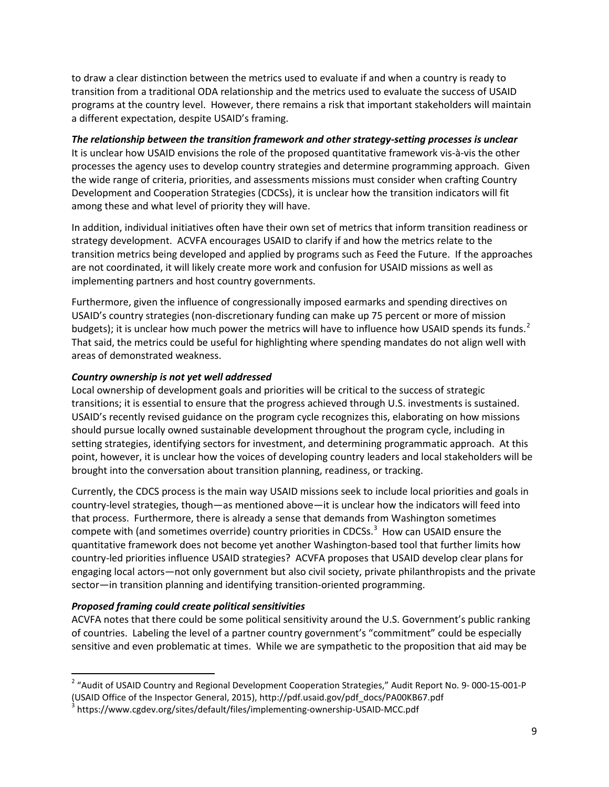to draw a clear distinction between the metrics used to evaluate if and when a country is ready to transition from a traditional ODA relationship and the metrics used to evaluate the success of USAID programs at the country level. However, there remains a risk that important stakeholders will maintain a different expectation, despite USAID's framing.

# *The relationship between the transition framework and other strategy-setting processes is unclear*

It is unclear how USAID envisions the role of the proposed quantitative framework vis-à-vis the other processes the agency uses to develop country strategies and determine programming approach. Given the wide range of criteria, priorities, and assessments missions must consider when crafting Country Development and Cooperation Strategies (CDCSs), it is unclear how the transition indicators will fit among these and what level of priority they will have.

In addition, individual initiatives often have their own set of metrics that inform transition readiness or strategy development. ACVFA encourages USAID to clarify if and how the metrics relate to the transition metrics being developed and applied by programs such as Feed the Future. If the approaches are not coordinated, it will likely create more work and confusion for USAID missions as well as implementing partners and host country governments.

Furthermore, given the influence of congressionally imposed earmarks and spending directives on USAID's country strategies (non-discretionary funding can make up 75 percent or more of mission budgets); it is unclear how much power the metrics will have to influence how USAID spends its funds.<sup>[2](#page-8-0)</sup> That said, the metrics could be useful for highlighting where spending mandates do not align well with areas of demonstrated weakness.

# *Country ownership is not yet well addressed*

Local ownership of development goals and priorities will be critical to the success of strategic transitions; it is essential to ensure that the progress achieved through U.S. investments is sustained. USAID's recently revised guidance on the program cycle recognizes this, elaborating on how missions should pursue locally owned sustainable development throughout the program cycle, including in setting strategies, identifying sectors for investment, and determining programmatic approach. At this point, however, it is unclear how the voices of developing country leaders and local stakeholders will be brought into the conversation about transition planning, readiness, or tracking.

Currently, the CDCS process is the main way USAID missions seek to include local priorities and goals in country-level strategies, though—as mentioned above—it is unclear how the indicators will feed into that process. Furthermore, there is already a sense that demands from Washington sometimes compete with (and sometimes override) country priorities in CDCSs. $<sup>3</sup>$  $<sup>3</sup>$  $<sup>3</sup>$  How can USAID ensure the</sup> quantitative framework does not become yet another Washington-based tool that further limits how country-led priorities influence USAID strategies? ACVFA proposes that USAID develop clear plans for engaging local actors—not only government but also civil society, private philanthropists and the private sector—in transition planning and identifying transition-oriented programming.

# *Proposed framing could create political sensitivities*

ACVFA notes that there could be some political sensitivity around the U.S. Government's public ranking of countries. Labeling the level of a partner country government's "commitment" could be especially sensitive and even problematic at times. While we are sympathetic to the proposition that aid may be

<span id="page-8-0"></span><sup>&</sup>lt;sup>2</sup> "Audit of USAID Country and Regional Development Cooperation Strategies," Audit Report No. 9-000-15-001-P (USAID Office of the Inspector General, 2015), http://pdf.usaid.gov/pdf\_docs/PA00KB67.pdf

<span id="page-8-1"></span><sup>&</sup>lt;sup>3</sup> https://www.cgdev.org/sites/default/files/implementing-ownership-USAID-MCC.pdf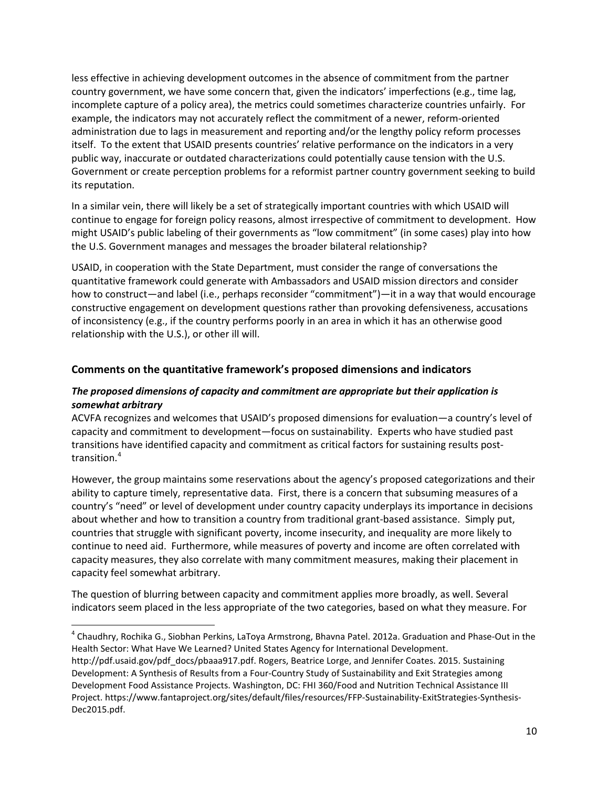less effective in achieving development outcomes in the absence of commitment from the partner country government, we have some concern that, given the indicators' imperfections (e.g., time lag, incomplete capture of a policy area), the metrics could sometimes characterize countries unfairly. For example, the indicators may not accurately reflect the commitment of a newer, reform-oriented administration due to lags in measurement and reporting and/or the lengthy policy reform processes itself. To the extent that USAID presents countries' relative performance on the indicators in a very public way, inaccurate or outdated characterizations could potentially cause tension with the U.S. Government or create perception problems for a reformist partner country government seeking to build its reputation.

In a similar vein, there will likely be a set of strategically important countries with which USAID will continue to engage for foreign policy reasons, almost irrespective of commitment to development. How might USAID's public labeling of their governments as "low commitment" (in some cases) play into how the U.S. Government manages and messages the broader bilateral relationship?

USAID, in cooperation with the State Department, must consider the range of conversations the quantitative framework could generate with Ambassadors and USAID mission directors and consider how to construct—and label (i.e., perhaps reconsider "commitment")—it in a way that would encourage constructive engagement on development questions rather than provoking defensiveness, accusations of inconsistency (e.g., if the country performs poorly in an area in which it has an otherwise good relationship with the U.S.), or other ill will.

# **Comments on the quantitative framework's proposed dimensions and indicators**

# *The proposed dimensions of capacity and commitment are appropriate but their application is somewhat arbitrary*

ACVFA recognizes and welcomes that USAID's proposed dimensions for evaluation—a country's level of capacity and commitment to development—focus on sustainability. Experts who have studied past transitions have identified capacity and commitment as critical factors for sustaining results posttransition.[4](#page-9-0)

However, the group maintains some reservations about the agency's proposed categorizations and their ability to capture timely, representative data. First, there is a concern that subsuming measures of a country's "need" or level of development under country capacity underplays its importance in decisions about whether and how to transition a country from traditional grant-based assistance. Simply put, countries that struggle with significant poverty, income insecurity, and inequality are more likely to continue to need aid. Furthermore, while measures of poverty and income are often correlated with capacity measures, they also correlate with many commitment measures, making their placement in capacity feel somewhat arbitrary.

The question of blurring between capacity and commitment applies more broadly, as well. Several indicators seem placed in the less appropriate of the two categories, based on what they measure. For

<span id="page-9-0"></span> <sup>4</sup> Chaudhry, Rochika G., Siobhan Perkins, LaToya Armstrong, Bhavna Patel. 2012a. Graduation and Phase-Out in the Health Sector: What Have We Learned? United States Agency for International Development.

http://pdf.usaid.gov/pdf\_docs/pbaaa917.pdf. Rogers, Beatrice Lorge, and Jennifer Coates. 2015. Sustaining Development: A Synthesis of Results from a Four-Country Study of Sustainability and Exit Strategies among Development Food Assistance Projects. Washington, DC: FHI 360/Food and Nutrition Technical Assistance III Project. https://www.fantaproject.org/sites/default/files/resources/FFP-Sustainability-ExitStrategies-Synthesis-Dec2015.pdf.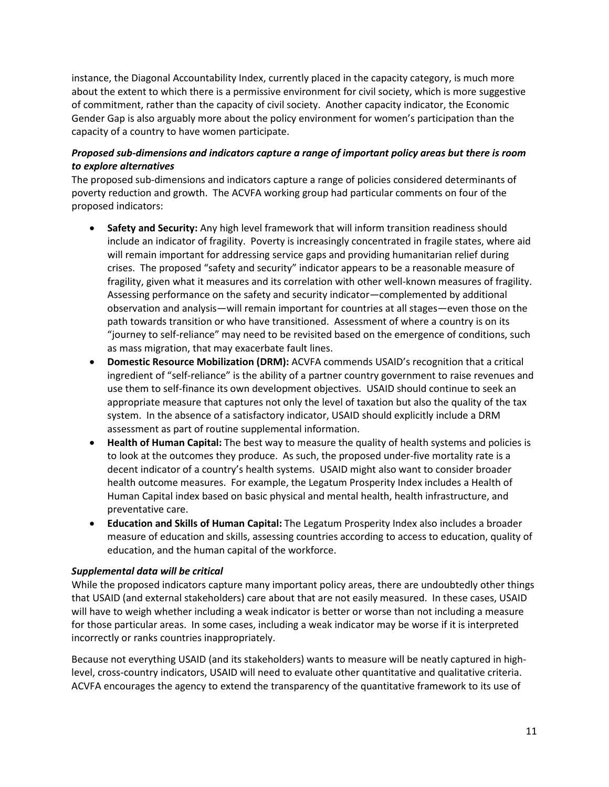instance, the Diagonal Accountability Index, currently placed in the capacity category, is much more about the extent to which there is a permissive environment for civil society, which is more suggestive of commitment, rather than the capacity of civil society. Another capacity indicator, the Economic Gender Gap is also arguably more about the policy environment for women's participation than the capacity of a country to have women participate.

# *Proposed sub-dimensions and indicators capture a range of important policy areas but there is room to explore alternatives*

The proposed sub-dimensions and indicators capture a range of policies considered determinants of poverty reduction and growth. The ACVFA working group had particular comments on four of the proposed indicators:

- **Safety and Security:** Any high level framework that will inform transition readiness should include an indicator of fragility. Poverty is increasingly concentrated in fragile states, where aid will remain important for addressing service gaps and providing humanitarian relief during crises. The proposed "safety and security" indicator appears to be a reasonable measure of fragility, given what it measures and its correlation with other well-known measures of fragility. Assessing performance on the safety and security indicator—complemented by additional observation and analysis—will remain important for countries at all stages—even those on the path towards transition or who have transitioned. Assessment of where a country is on its "journey to self-reliance" may need to be revisited based on the emergence of conditions, such as mass migration, that may exacerbate fault lines.
- **Domestic Resource Mobilization (DRM):** ACVFA commends USAID's recognition that a critical ingredient of "self-reliance" is the ability of a partner country government to raise revenues and use them to self-finance its own development objectives. USAID should continue to seek an appropriate measure that captures not only the level of taxation but also the quality of the tax system. In the absence of a satisfactory indicator, USAID should explicitly include a DRM assessment as part of routine supplemental information.
- **Health of Human Capital:** The best way to measure the quality of health systems and policies is to look at the outcomes they produce. As such, the proposed under-five mortality rate is a decent indicator of a country's health systems. USAID might also want to consider broader health outcome measures. For example, the Legatum Prosperity Index includes a Health of Human Capital index based on basic physical and mental health, health infrastructure, and preventative care.
- **Education and Skills of Human Capital:** The Legatum Prosperity Index also includes a broader measure of education and skills, assessing countries according to access to education, quality of education, and the human capital of the workforce.

# *Supplemental data will be critical*

While the proposed indicators capture many important policy areas, there are undoubtedly other things that USAID (and external stakeholders) care about that are not easily measured. In these cases, USAID will have to weigh whether including a weak indicator is better or worse than not including a measure for those particular areas. In some cases, including a weak indicator may be worse if it is interpreted incorrectly or ranks countries inappropriately.

Because not everything USAID (and its stakeholders) wants to measure will be neatly captured in highlevel, cross-country indicators, USAID will need to evaluate other quantitative and qualitative criteria. ACVFA encourages the agency to extend the transparency of the quantitative framework to its use of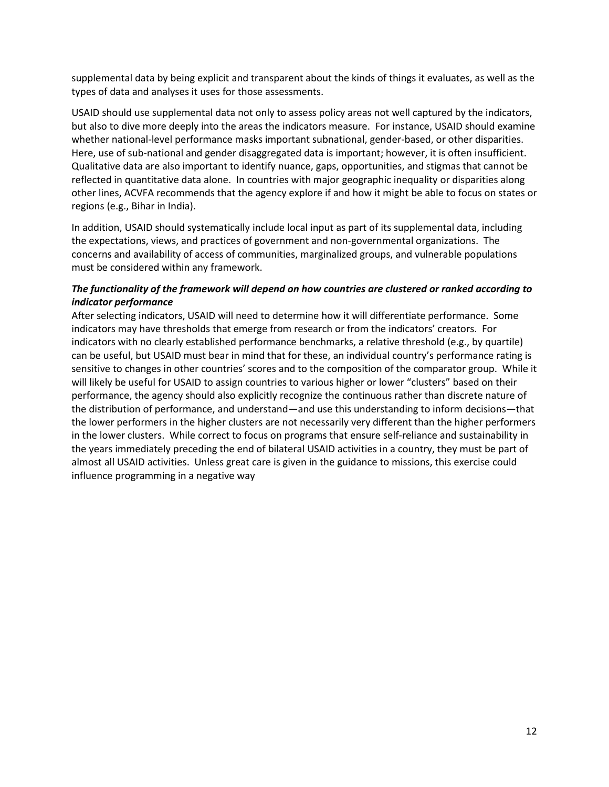supplemental data by being explicit and transparent about the kinds of things it evaluates, as well as the types of data and analyses it uses for those assessments.

USAID should use supplemental data not only to assess policy areas not well captured by the indicators, but also to dive more deeply into the areas the indicators measure. For instance, USAID should examine whether national-level performance masks important subnational, gender-based, or other disparities. Here, use of sub-national and gender disaggregated data is important; however, it is often insufficient. Qualitative data are also important to identify nuance, gaps, opportunities, and stigmas that cannot be reflected in quantitative data alone. In countries with major geographic inequality or disparities along other lines, ACVFA recommends that the agency explore if and how it might be able to focus on states or regions (e.g., Bihar in India).

In addition, USAID should systematically include local input as part of its supplemental data, including the expectations, views, and practices of government and non-governmental organizations. The concerns and availability of access of communities, marginalized groups, and vulnerable populations must be considered within any framework.

# *The functionality of the framework will depend on how countries are clustered or ranked according to indicator performance*

After selecting indicators, USAID will need to determine how it will differentiate performance. Some indicators may have thresholds that emerge from research or from the indicators' creators. For indicators with no clearly established performance benchmarks, a relative threshold (e.g., by quartile) can be useful, but USAID must bear in mind that for these, an individual country's performance rating is sensitive to changes in other countries' scores and to the composition of the comparator group. While it will likely be useful for USAID to assign countries to various higher or lower "clusters" based on their performance, the agency should also explicitly recognize the continuous rather than discrete nature of the distribution of performance, and understand—and use this understanding to inform decisions—that the lower performers in the higher clusters are not necessarily very different than the higher performers in the lower clusters. While correct to focus on programs that ensure self-reliance and sustainability in the years immediately preceding the end of bilateral USAID activities in a country, they must be part of almost all USAID activities. Unless great care is given in the guidance to missions, this exercise could influence programming in a negative way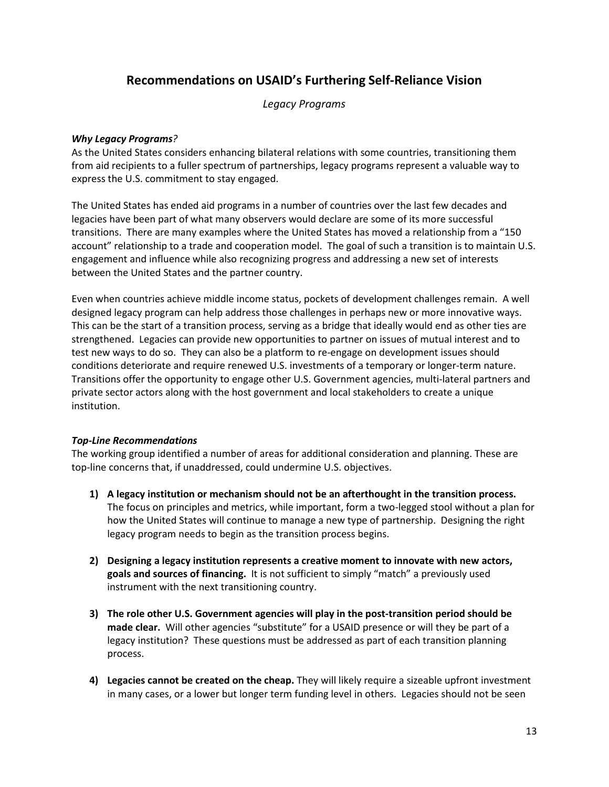# **Recommendations on USAID's Furthering Self-Reliance Vision**

*Legacy Programs*

# *Why Legacy Programs?*

As the United States considers enhancing bilateral relations with some countries, transitioning them from aid recipients to a fuller spectrum of partnerships, legacy programs represent a valuable way to express the U.S. commitment to stay engaged.

The United States has ended aid programs in a number of countries over the last few decades and legacies have been part of what many observers would declare are some of its more successful transitions. There are many examples where the United States has moved a relationship from a "150 account" relationship to a trade and cooperation model. The goal of such a transition is to maintain U.S. engagement and influence while also recognizing progress and addressing a new set of interests between the United States and the partner country.

Even when countries achieve middle income status, pockets of development challenges remain. A well designed legacy program can help address those challenges in perhaps new or more innovative ways. This can be the start of a transition process, serving as a bridge that ideally would end as other ties are strengthened. Legacies can provide new opportunities to partner on issues of mutual interest and to test new ways to do so. They can also be a platform to re-engage on development issues should conditions deteriorate and require renewed U.S. investments of a temporary or longer-term nature. Transitions offer the opportunity to engage other U.S. Government agencies, multi-lateral partners and private sector actors along with the host government and local stakeholders to create a unique institution.

# *Top-Line Recommendations*

The working group identified a number of areas for additional consideration and planning. These are top-line concerns that, if unaddressed, could undermine U.S. objectives.

- **1) A legacy institution or mechanism should not be an afterthought in the transition process.** The focus on principles and metrics, while important, form a two-legged stool without a plan for how the United States will continue to manage a new type of partnership. Designing the right legacy program needs to begin as the transition process begins.
- **2) Designing a legacy institution represents a creative moment to innovate with new actors, goals and sources of financing.** It is not sufficient to simply "match" a previously used instrument with the next transitioning country.
- **3) The role other U.S. Government agencies will play in the post-transition period should be made clear.** Will other agencies "substitute" for a USAID presence or will they be part of a legacy institution? These questions must be addressed as part of each transition planning process.
- **4) Legacies cannot be created on the cheap.** They will likely require a sizeable upfront investment in many cases, or a lower but longer term funding level in others. Legacies should not be seen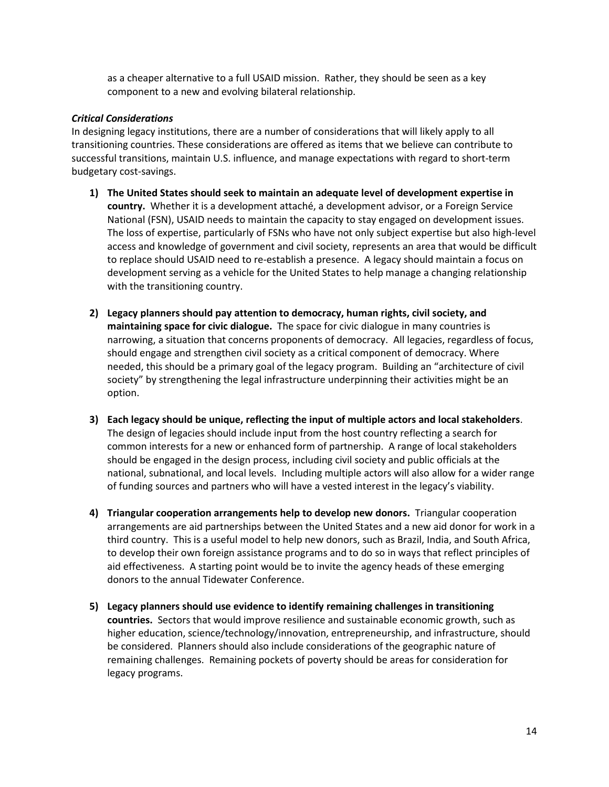as a cheaper alternative to a full USAID mission. Rather, they should be seen as a key component to a new and evolving bilateral relationship.

#### *Critical Considerations*

In designing legacy institutions, there are a number of considerations that will likely apply to all transitioning countries. These considerations are offered as items that we believe can contribute to successful transitions, maintain U.S. influence, and manage expectations with regard to short-term budgetary cost-savings.

- **1) The United States should seek to maintain an adequate level of development expertise in country.** Whether it is a development attaché, a development advisor, or a Foreign Service National (FSN), USAID needs to maintain the capacity to stay engaged on development issues. The loss of expertise, particularly of FSNs who have not only subject expertise but also high-level access and knowledge of government and civil society, represents an area that would be difficult to replace should USAID need to re-establish a presence. A legacy should maintain a focus on development serving as a vehicle for the United States to help manage a changing relationship with the transitioning country.
- **2) Legacy planners should pay attention to democracy, human rights, civil society, and maintaining space for civic dialogue.** The space for civic dialogue in many countries is narrowing, a situation that concerns proponents of democracy. All legacies, regardless of focus, should engage and strengthen civil society as a critical component of democracy. Where needed, this should be a primary goal of the legacy program. Building an "architecture of civil society" by strengthening the legal infrastructure underpinning their activities might be an option.
- **3) Each legacy should be unique, reflecting the input of multiple actors and local stakeholders**. The design of legacies should include input from the host country reflecting a search for common interests for a new or enhanced form of partnership. A range of local stakeholders should be engaged in the design process, including civil society and public officials at the national, subnational, and local levels. Including multiple actors will also allow for a wider range of funding sources and partners who will have a vested interest in the legacy's viability.
- **4) Triangular cooperation arrangements help to develop new donors.** Triangular cooperation arrangements are aid partnerships between the United States and a new aid donor for work in a third country. This is a useful model to help new donors, such as Brazil, India, and South Africa, to develop their own foreign assistance programs and to do so in ways that reflect principles of aid effectiveness. A starting point would be to invite the agency heads of these emerging donors to the annual Tidewater Conference.
- **5) Legacy planners should use evidence to identify remaining challenges in transitioning countries.** Sectors that would improve resilience and sustainable economic growth, such as higher education, science/technology/innovation, entrepreneurship, and infrastructure, should be considered. Planners should also include considerations of the geographic nature of remaining challenges. Remaining pockets of poverty should be areas for consideration for legacy programs.